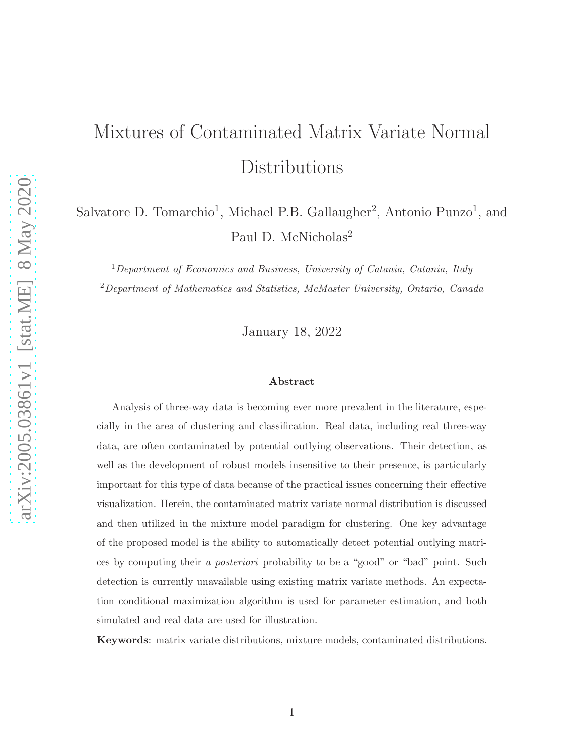# Mixtures of Contaminated Matrix Variate Normal Distributions

Salvatore D. Tomarchio<sup>1</sup>, Michael P.B. Gallaugher<sup>2</sup>, Antonio Punzo<sup>1</sup>, and Paul D. McNicholas<sup>2</sup>

 $1$ Department of Economics and Business, University of Catania, Catania, Italy <sup>2</sup>Department of Mathematics and Statistics, McMaster University, Ontario, Canada

January 18, 2022

#### Abstract

Analysis of three-way data is becoming ever more prevalent in the literature, especially in the area of clustering and classification. Real data, including real three-way data, are often contaminated by potential outlying observations. Their detection, as well as the development of robust models insensitive to their presence, is particularly important for this type of data because of the practical issues concerning their effective visualization. Herein, the contaminated matrix variate normal distribution is discussed and then utilized in the mixture model paradigm for clustering. One key advantage of the proposed model is the ability to automatically detect potential outlying matrices by computing their a posteriori probability to be a "good" or "bad" point. Such detection is currently unavailable using existing matrix variate methods. An expectation conditional maximization algorithm is used for parameter estimation, and both simulated and real data are used for illustration.

Keywords: matrix variate distributions, mixture models, contaminated distributions.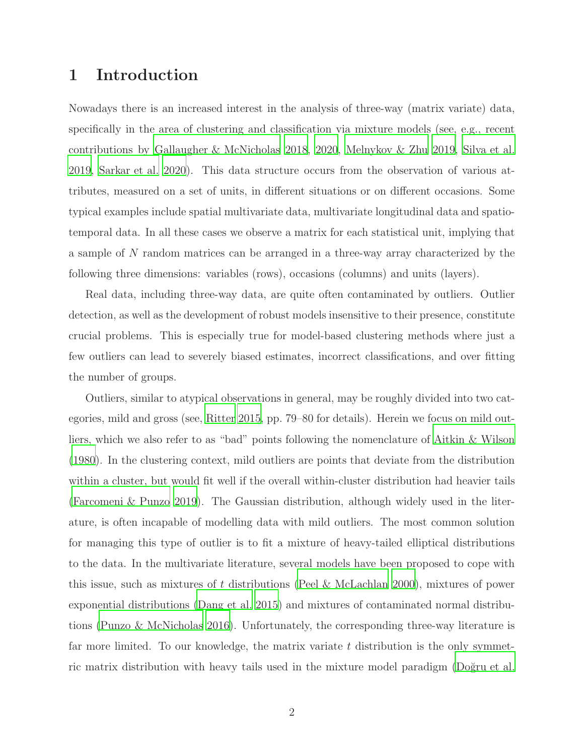# <span id="page-1-0"></span>1 Introduction

Nowadays there is an increased interest in the analysis of three-way (matrix variate) data, specifically in the area of clustering and classification via mixture models (see, e.g., recent contributions by [Gallaugher & McNicholas 2018,](#page-15-0) [2020](#page-15-1), [Melnykov & Zhu](#page-16-0) [2019](#page-16-0), [Silva et al.](#page-16-1) [2019,](#page-16-1) [Sarkar et al. 2020](#page-16-2)). This data structure occurs from the observation of various attributes, measured on a set of units, in different situations or on different occasions. Some typical examples include spatial multivariate data, multivariate longitudinal data and spatiotemporal data. In all these cases we observe a matrix for each statistical unit, implying that a sample of N random matrices can be arranged in a three-way array characterized by the following three dimensions: variables (rows), occasions (columns) and units (layers).

Real data, including three-way data, are quite often contaminated by outliers. Outlier detection, as well as the development of robust models insensitive to their presence, constitute crucial problems. This is especially true for model-based clustering methods where just a few outliers can lead to severely biased estimates, incorrect classifications, and over fitting the number of groups.

Outliers, similar to atypical observations in general, may be roughly divided into two categories, mild and gross (see, [Ritter 2015](#page-16-3), pp. 79–80 for details). Herein we focus on mild outliers, which we also refer to as "bad" points following the nomenclature of [Aitkin & Wilson](#page-14-0) [\(1980\)](#page-14-0). In the clustering context, mild outliers are points that deviate from the distribution within a cluster, but would fit well if the overall within-cluster distribution had heavier tails [\(Farcomeni & Punzo 2019\)](#page-15-2). The Gaussian distribution, although widely used in the literature, is often incapable of modelling data with mild outliers. The most common solution for managing this type of outlier is to fit a mixture of heavy-tailed elliptical distributions to the data. In the multivariate literature, several models have been proposed to cope with this issue, such as mixtures of t distributions [\(Peel & McLachlan 2000\)](#page-16-4), mixtures of power exponential distributions [\(Dang et al. 2015\)](#page-15-3) and mixtures of contaminated normal distributions [\(Punzo & McNicholas 2016\)](#page-16-5). Unfortunately, the corresponding three-way literature is far more limited. To our knowledge, the matrix variate  $t$  distribution is the only symmetric matrix distribution with heavy tails used in the mixture model paradigm (Doğru et al.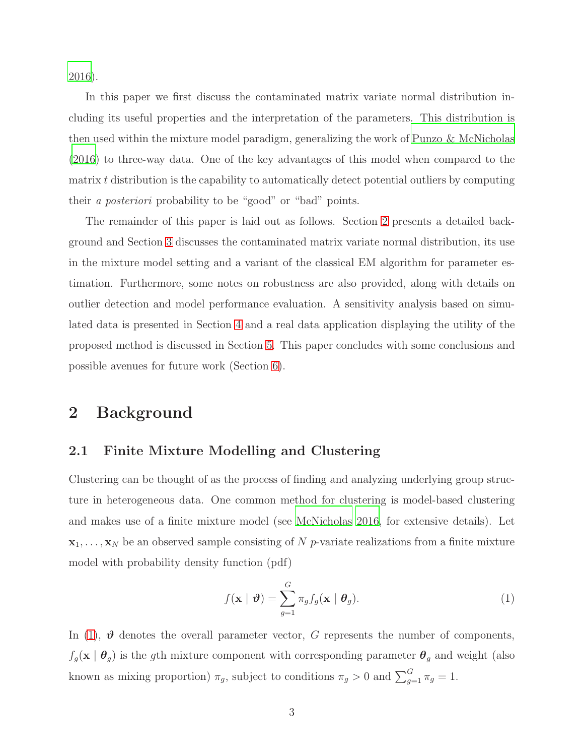[2016\)](#page-15-4).

In this paper we first discuss the contaminated matrix variate normal distribution including its useful properties and the interpretation of the parameters. This distribution is then used within the mixture model paradigm, generalizing the work of [Punzo & McNicholas](#page-16-5) [\(2016\)](#page-16-5) to three-way data. One of the key advantages of this model when compared to the matrix t distribution is the capability to automatically detect potential outliers by computing their a posteriori probability to be "good" or "bad" points.

The remainder of this paper is laid out as follows. Section [2](#page-2-0) presents a detailed background and Section [3](#page-4-0) discusses the contaminated matrix variate normal distribution, its use in the mixture model setting and a variant of the classical EM algorithm for parameter estimation. Furthermore, some notes on robustness are also provided, along with details on outlier detection and model performance evaluation. A sensitivity analysis based on simulated data is presented in Section [4](#page-9-0) and a real data application displaying the utility of the proposed method is discussed in Section [5.](#page-12-0) This paper concludes with some conclusions and possible avenues for future work (Section [6\)](#page-14-1).

## <span id="page-2-0"></span>2 Background

### 2.1 Finite Mixture Modelling and Clustering

Clustering can be thought of as the process of finding and analyzing underlying group structure in heterogeneous data. One common method for clustering is model-based clustering and makes use of a finite mixture model (see [McNicholas 2016,](#page-16-6) for extensive details). Let  $x_1, \ldots, x_N$  be an observed sample consisting of N p-variate realizations from a finite mixture model with probability density function (pdf)

<span id="page-2-1"></span>
$$
f(\mathbf{x} \mid \boldsymbol{\vartheta}) = \sum_{g=1}^{G} \pi_g f_g(\mathbf{x} \mid \boldsymbol{\theta}_g).
$$
 (1)

In [\(1\)](#page-2-1),  $\theta$  denotes the overall parameter vector, G represents the number of components,  $f_g(\mathbf{x} \mid \boldsymbol{\theta}_g)$  is the gth mixture component with corresponding parameter  $\boldsymbol{\theta}_g$  and weight (also known as mixing proportion)  $\pi_g$ , subject to conditions  $\pi_g > 0$  and  $\sum_{g=1}^G \pi_g = 1$ .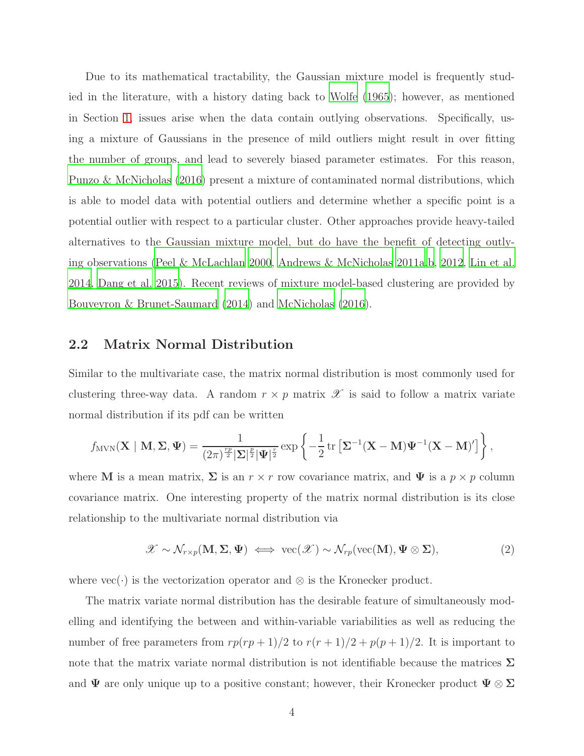Due to its mathematical tractability, the Gaussian mixture model is frequently studied in the literature, with a history dating back to [Wolfe \(1965](#page-17-0)); however, as mentioned in Section [1,](#page-1-0) issues arise when the data contain outlying observations. Specifically, using a mixture of Gaussians in the presence of mild outliers might result in over fitting the number of groups, and lead to severely biased parameter estimates. For this reason, [Punzo & McNicholas \(2016\)](#page-16-5) present a mixture of contaminated normal distributions, which is able to model data with potential outliers and determine whether a specific point is a potential outlier with respect to a particular cluster. Other approaches provide heavy-tailed alternatives to the Gaussian mixture model, but do have the benefit of detecting outlying observations [\(Peel & McLachlan 2000,](#page-16-4) [Andrews & McNicholas 2011a](#page-14-2)[,b](#page-14-3), [2012,](#page-15-5) [Lin et al.](#page-16-7) [2014,](#page-16-7) [Dang et al. 2015](#page-15-3)). Recent reviews of mixture model-based clustering are provided by [Bouveyron & Brunet-Saumard \(2014\)](#page-15-6) and [McNicholas \(2016\)](#page-16-8).

#### <span id="page-3-0"></span>2.2 Matrix Normal Distribution

Similar to the multivariate case, the matrix normal distribution is most commonly used for clustering three-way data. A random  $r \times p$  matrix  $\mathscr X$  is said to follow a matrix variate normal distribution if its pdf can be written

$$
f_{MVN}(\mathbf{X} \mid \mathbf{M}, \boldsymbol{\Sigma}, \boldsymbol{\Psi}) = \frac{1}{(2\pi)^{\frac{rp}{2}} |\boldsymbol{\Sigma}|^{\frac{p}{2}} |\boldsymbol{\Psi}|^{\frac{r}{2}}} \exp \left\{-\frac{1}{2} \operatorname{tr} \left[\boldsymbol{\Sigma}^{-1} (\mathbf{X} - \mathbf{M}) \boldsymbol{\Psi}^{-1} (\mathbf{X} - \mathbf{M})'\right]\right\},
$$

where M is a mean matrix,  $\Sigma$  is an  $r \times r$  row covariance matrix, and  $\Psi$  is a  $p \times p$  column covariance matrix. One interesting property of the matrix normal distribution is its close relationship to the multivariate normal distribution via

<span id="page-3-1"></span>
$$
\mathscr{X} \sim \mathcal{N}_{r \times p}(\mathbf{M}, \Sigma, \Psi) \iff \text{vec}(\mathscr{X}) \sim \mathcal{N}_{rp}(\text{vec}(\mathbf{M}), \Psi \otimes \Sigma), \tag{2}
$$

where  $\text{vec}(\cdot)$  is the vectorization operator and  $\otimes$  is the Kronecker product.

The matrix variate normal distribution has the desirable feature of simultaneously modelling and identifying the between and within-variable variabilities as well as reducing the number of free parameters from  $rp(rp+1)/2$  to  $r(r+1)/2 + p(p+1)/2$ . It is important to note that the matrix variate normal distribution is not identifiable because the matrices  $\Sigma$ and  $\Psi$  are only unique up to a positive constant; however, their Kronecker product  $\Psi \otimes \Sigma$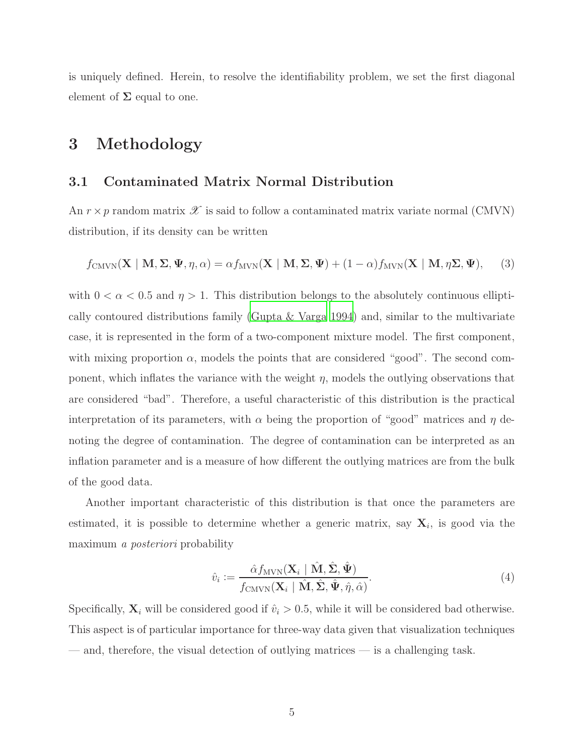<span id="page-4-0"></span>is uniquely defined. Herein, to resolve the identifiability problem, we set the first diagonal element of  $\Sigma$  equal to one.

# 3 Methodology

#### 3.1 Contaminated Matrix Normal Distribution

An  $r \times p$  random matrix  $\mathscr X$  is said to follow a contaminated matrix variate normal (CMVN) distribution, if its density can be written

$$
f_{\text{CMVN}}(\mathbf{X} \mid \mathbf{M}, \Sigma, \Psi, \eta, \alpha) = \alpha f_{\text{MVN}}(\mathbf{X} \mid \mathbf{M}, \Sigma, \Psi) + (1 - \alpha) f_{\text{MVN}}(\mathbf{X} \mid \mathbf{M}, \eta \Sigma, \Psi), \tag{3}
$$

with  $0 < \alpha < 0.5$  and  $\eta > 1$ . This distribution belongs to the absolutely continuous elliptically contoured distributions family [\(Gupta & Varga 1994](#page-15-7)) and, similar to the multivariate case, it is represented in the form of a two-component mixture model. The first component, with mixing proportion  $\alpha$ , models the points that are considered "good". The second component, which inflates the variance with the weight  $\eta$ , models the outlying observations that are considered "bad". Therefore, a useful characteristic of this distribution is the practical interpretation of its parameters, with  $\alpha$  being the proportion of "good" matrices and  $\eta$  denoting the degree of contamination. The degree of contamination can be interpreted as an inflation parameter and is a measure of how different the outlying matrices are from the bulk of the good data.

Another important characteristic of this distribution is that once the parameters are estimated, it is possible to determine whether a generic matrix, say  $X_i$ , is good via the maximum a posteriori probability

$$
\hat{v}_i := \frac{\hat{\alpha} f_{\text{MVN}}(\mathbf{X}_i \mid \hat{\mathbf{M}}, \hat{\boldsymbol{\Sigma}}, \hat{\boldsymbol{\Psi}})}{f_{\text{CMVN}}(\mathbf{X}_i \mid \hat{\mathbf{M}}, \hat{\boldsymbol{\Sigma}}, \hat{\boldsymbol{\Psi}}, \hat{\boldsymbol{\eta}}, \hat{\alpha})}.
$$
\n(4)

Specifically,  $\mathbf{X}_i$  will be considered good if  $\hat{v}_i > 0.5$ , while it will be considered bad otherwise. This aspect is of particular importance for three-way data given that visualization techniques — and, therefore, the visual detection of outlying matrices — is a challenging task.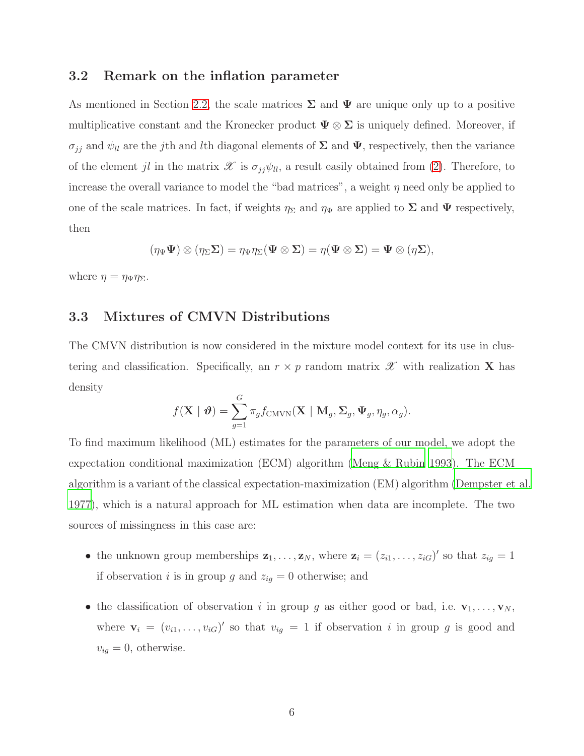#### 3.2 Remark on the inflation parameter

As mentioned in Section [2.2,](#page-3-0) the scale matrices  $\Sigma$  and  $\Psi$  are unique only up to a positive multiplicative constant and the Kronecker product  $\Psi \otimes \Sigma$  is uniquely defined. Moreover, if  $\sigma_{jj}$  and  $\psi_{ll}$  are the j<sup>th</sup> and *l*<sup>th</sup> diagonal elements of  $\Sigma$  and  $\Psi$ , respectively, then the variance of the element jl in the matrix  $\mathscr X$  is  $\sigma_{jj}\psi_{ll}$ , a result easily obtained from [\(2\)](#page-3-1). Therefore, to increase the overall variance to model the "bad matrices", a weight  $\eta$  need only be applied to one of the scale matrices. In fact, if weights  $\eta_{\Sigma}$  and  $\eta_{\Psi}$  are applied to  $\Sigma$  and  $\Psi$  respectively, then

$$
(\eta_{\Psi}\Psi)\otimes(\eta_{\Sigma}\Sigma)=\eta_{\Psi}\eta_{\Sigma}(\Psi\otimes\Sigma)=\eta(\Psi\otimes\Sigma)=\Psi\otimes(\eta\Sigma),
$$

where  $\eta = \eta_{\Psi} \eta_{\Sigma}$ .

## 3.3 Mixtures of CMVN Distributions

The CMVN distribution is now considered in the mixture model context for its use in clustering and classification. Specifically, an  $r \times p$  random matrix  $\mathscr X$  with realization **X** has density

$$
f(\mathbf{X} \mid \boldsymbol{\vartheta}) = \sum_{g=1}^{G} \pi_g f_{\text{CMVN}}(\mathbf{X} \mid \mathbf{M}_g, \boldsymbol{\Sigma}_g, \boldsymbol{\Psi}_g, \eta_g, \alpha_g).
$$

To find maximum likelihood (ML) estimates for the parameters of our model, we adopt the expectation conditional maximization (ECM) algorithm [\(Meng & Rubin 1993\)](#page-16-9). The ECM algorithm is a variant of the classical expectation-maximization (EM) algorithm [\(Dempster et al.](#page-15-8) [1977\)](#page-15-8), which is a natural approach for ML estimation when data are incomplete. The two sources of missingness in this case are:

- the unknown group memberships  $\mathbf{z}_1, \ldots, \mathbf{z}_N$ , where  $\mathbf{z}_i = (z_{i1}, \ldots, z_{iG})'$  so that  $z_{ig} = 1$ if observation *i* is in group g and  $z_{ig} = 0$  otherwise; and
- the classification of observation i in group g as either good or bad, i.e.  $\mathbf{v}_1, \ldots, \mathbf{v}_N$ , where  $\mathbf{v}_i = (v_{i1}, \dots, v_{iG})'$  so that  $v_{ig} = 1$  if observation i in group g is good and  $v_{ig} = 0$ , otherwise.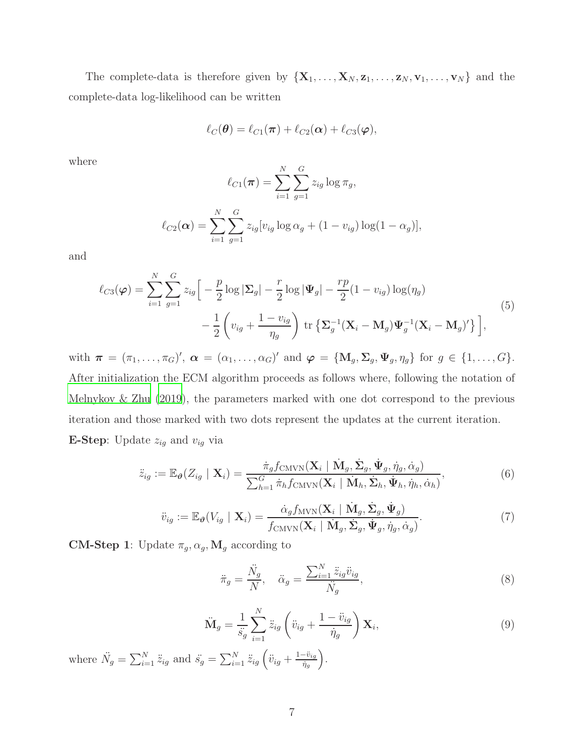The complete-data is therefore given by  $\{X_1, \ldots, X_N, z_1, \ldots, z_N, v_1, \ldots, v_N\}$  and the complete-data log-likelihood can be written

$$
\ell_C(\boldsymbol{\theta}) = \ell_{C1}(\boldsymbol{\pi}) + \ell_{C2}(\boldsymbol{\alpha}) + \ell_{C3}(\boldsymbol{\varphi}),
$$

where

$$
\ell_{C1}(\boldsymbol{\pi}) = \sum_{i=1}^{N} \sum_{g=1}^{G} z_{ig} \log \pi_g,
$$

$$
\ell_{C2}(\alpha) = \sum_{i=1}^{N} \sum_{g=1}^{G} z_{ig} [v_{ig} \log \alpha_g + (1 - v_{ig}) \log (1 - \alpha_g)],
$$

and

$$
\ell_{C3}(\varphi) = \sum_{i=1}^{N} \sum_{g=1}^{G} z_{ig} \Big[ -\frac{p}{2} \log |\Sigma_g| - \frac{r}{2} \log |\Psi_g| - \frac{rp}{2} (1 - v_{ig}) \log (\eta_g) - \frac{1}{2} \left( v_{ig} + \frac{1 - v_{ig}}{\eta_g} \right) \operatorname{tr} \left\{ \Sigma_g^{-1} (\mathbf{X}_i - \mathbf{M}_g) \Psi_g^{-1} (\mathbf{X}_i - \mathbf{M}_g)' \right\} \Big], \tag{5}
$$

with  $\boldsymbol{\pi} = (\pi_1, \ldots, \pi_G)'$ ,  $\boldsymbol{\alpha} = (\alpha_1, \ldots, \alpha_G)'$  and  $\boldsymbol{\varphi} = {\bf M}_g, \boldsymbol{\Sigma}_g, \boldsymbol{\Psi}_g, \eta_g {\bf \}$  for  $g \in \{1, \ldots, G\}$ . After initialization the ECM algorithm proceeds as follows where, following the notation of [Melnykov & Zhu \(2019\)](#page-16-0), the parameters marked with one dot correspond to the previous iteration and those marked with two dots represent the updates at the current iteration. **E-Step:** Update  $z_{ig}$  and  $v_{ig}$  via

<span id="page-6-2"></span>
$$
\ddot{z}_{ig} := \mathbb{E}_{\boldsymbol{\vartheta}}(Z_{ig} \mid \mathbf{X}_{i}) = \frac{\dot{\pi}_{g} f_{\text{CMVN}}(\mathbf{X}_{i} \mid \dot{\mathbf{M}}_{g}, \dot{\boldsymbol{\Sigma}}_{g}, \dot{\boldsymbol{\Psi}}_{g}, \dot{\eta}_{g}, \dot{\alpha}_{g})}{\sum_{h=1}^{G} \dot{\pi}_{h} f_{\text{CMVN}}(\mathbf{X}_{i} \mid \dot{\mathbf{M}}_{h}, \dot{\boldsymbol{\Sigma}}_{h}, \dot{\boldsymbol{\Psi}}_{h}, \dot{\eta}_{h}, \dot{\alpha}_{h})},
$$
\n(6)

$$
\ddot{v}_{ig} := \mathbb{E}_{\boldsymbol{\vartheta}}(V_{ig} \mid \mathbf{X}_i) = \frac{\dot{\alpha}_g f_{\text{MVN}}(\mathbf{X}_i \mid \dot{\mathbf{M}}_g, \dot{\boldsymbol{\Sigma}}_g, \dot{\boldsymbol{\Psi}}_g)}{f_{\text{CMVN}}(\mathbf{X}_i \mid \dot{\mathbf{M}}_g, \dot{\boldsymbol{\Sigma}}_g, \dot{\boldsymbol{\Psi}}_g, \dot{\eta}_g, \dot{\alpha}_g)}.
$$
(7)

<span id="page-6-1"></span>**CM-Step 1**: Update  $\pi_g$ ,  $\alpha_g$ , **M**<sub>g</sub> according to

$$
\ddot{\pi}_g = \frac{\ddot{N}_g}{N}, \quad \ddot{\alpha}_g = \frac{\sum_{i=1}^N \ddot{z}_{ig} \ddot{v}_{ig}}{\ddot{N}_g},\tag{8}
$$

<span id="page-6-0"></span>
$$
\ddot{\mathbf{M}}_g = \frac{1}{\ddot{s}_g} \sum_{i=1}^N \ddot{z}_{ig} \left( \ddot{v}_{ig} + \frac{1 - \ddot{v}_{ig}}{\dot{\eta}_g} \right) \mathbf{X}_i, \tag{9}
$$

where  $\ddot{N}_g = \sum_{i=1}^N \ddot{z}_{ig}$  and  $\ddot{s}_g = \sum_{i=1}^N \ddot{z}_{ig} \left( \ddot{v}_{ig} + \frac{1-\ddot{v}_{ig}}{\dot{\eta}_g} \right)$  $\left. \frac{-\ddot{v}_{ig}}{\dot{\eta}_g} \right).$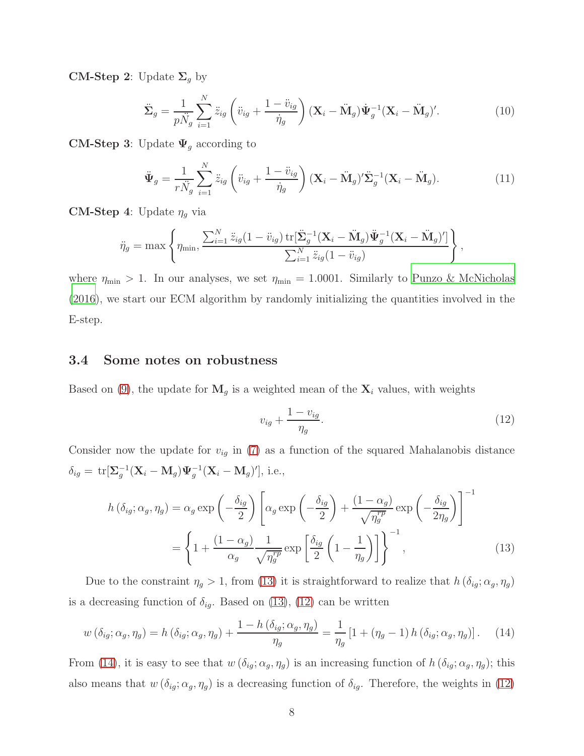**CM-Step 2:** Update  $\Sigma_g$  by

<span id="page-7-3"></span>
$$
\ddot{\Sigma}_g = \frac{1}{p\ddot{N}_g} \sum_{i=1}^N \ddot{z}_{ig} \left( \ddot{v}_{ig} + \frac{1 - \ddot{v}_{ig}}{\dot{\eta}_g} \right) (\mathbf{X}_i - \ddot{\mathbf{M}}_g) \dot{\Psi}_g^{-1} (\mathbf{X}_i - \ddot{\mathbf{M}}_g)'. \tag{10}
$$

**CM-Step 3:** Update  $\Psi_g$  according to

<span id="page-7-4"></span>
$$
\ddot{\Psi}_g = \frac{1}{r\ddot{N}_g} \sum_{i=1}^N \ddot{z}_{ig} \left( \ddot{v}_{ig} + \frac{1 - \ddot{v}_{ig}}{\dot{\eta}_g} \right) (\mathbf{X}_i - \ddot{\mathbf{M}}_g)' \ddot{\Sigma}_g^{-1} (\mathbf{X}_i - \ddot{\mathbf{M}}_g).
$$
(11)

**CM-Step 4**: Update  $\eta_g$  via

$$
\ddot{\eta}_g = \max \left\{ \eta_{\min}, \frac{\sum_{i=1}^N \ddot{z}_{ig}(1 - \ddot{v}_{ig}) \operatorname{tr}[\ddot{\Sigma}_g^{-1}(\mathbf{X}_i - \ddot{\mathbf{M}}_g) \ddot{\Psi}_g^{-1}(\mathbf{X}_i - \ddot{\mathbf{M}}_g)']}{\sum_{i=1}^N \ddot{z}_{ig}(1 - \ddot{v}_{ig})} \right\},
$$

where  $\eta_{\text{min}} > 1$ . In our analyses, we set  $\eta_{\text{min}} = 1.0001$ . Similarly to [Punzo & McNicholas](#page-16-5) [\(2016\)](#page-16-5), we start our ECM algorithm by randomly initializing the quantities involved in the E-step.

#### 3.4 Some notes on robustness

Based on [\(9\)](#page-6-0), the update for  $M_g$  is a weighted mean of the  $X_i$  values, with weights

<span id="page-7-1"></span><span id="page-7-0"></span>
$$
v_{ig} + \frac{1 - v_{ig}}{\eta_g}.\tag{12}
$$

Consider now the update for  $v_{ig}$  in [\(7\)](#page-6-1) as a function of the squared Mahalanobis distance  $\delta_{ig} = \text{tr}[\Sigma_g^{-1}(\mathbf{X}_i - \mathbf{M}_g)\boldsymbol{\Psi}_g^{-1}(\mathbf{X}_i - \mathbf{M}_g)'], \text{ i.e.,}$ 

$$
h\left(\delta_{ig};\alpha_{g},\eta_{g}\right) = \alpha_{g} \exp\left(-\frac{\delta_{ig}}{2}\right) \left[\alpha_{g} \exp\left(-\frac{\delta_{ig}}{2}\right) + \frac{(1-\alpha_{g})}{\sqrt{\eta_{g}^{rp}}} \exp\left(-\frac{\delta_{ig}}{2\eta_{g}}\right)\right]^{-1}
$$

$$
= \left\{1 + \frac{(1-\alpha_{g})}{\alpha_{g}} \frac{1}{\sqrt{\eta_{g}^{rp}}} \exp\left[\frac{\delta_{ig}}{2}\left(1 - \frac{1}{\eta_{g}}\right)\right]\right\}^{-1},\tag{13}
$$

Due to the constraint  $\eta_g > 1$ , from [\(13\)](#page-7-0) it is straightforward to realize that  $h(\delta_{ig}; \alpha_g, \eta_g)$ is a decreasing function of  $\delta_{ig}$ . Based on [\(13\)](#page-7-0), [\(12\)](#page-7-1) can be written

<span id="page-7-2"></span>
$$
w\left(\delta_{ig};\alpha_g,\eta_g\right) = h\left(\delta_{ig};\alpha_g,\eta_g\right) + \frac{1 - h\left(\delta_{ig};\alpha_g,\eta_g\right)}{\eta_g} = \frac{1}{\eta_g} \left[1 + \left(\eta_g - 1\right)h\left(\delta_{ig};\alpha_g,\eta_g\right)\right].\tag{14}
$$

From [\(14\)](#page-7-2), it is easy to see that  $w(\delta_{ig}; \alpha_g, \eta_g)$  is an increasing function of  $h(\delta_{ig}; \alpha_g, \eta_g)$ ; this also means that  $w(\delta_{ig}; \alpha_g, \eta_g)$  is a decreasing function of  $\delta_{ig}$ . Therefore, the weights in [\(12\)](#page-7-1)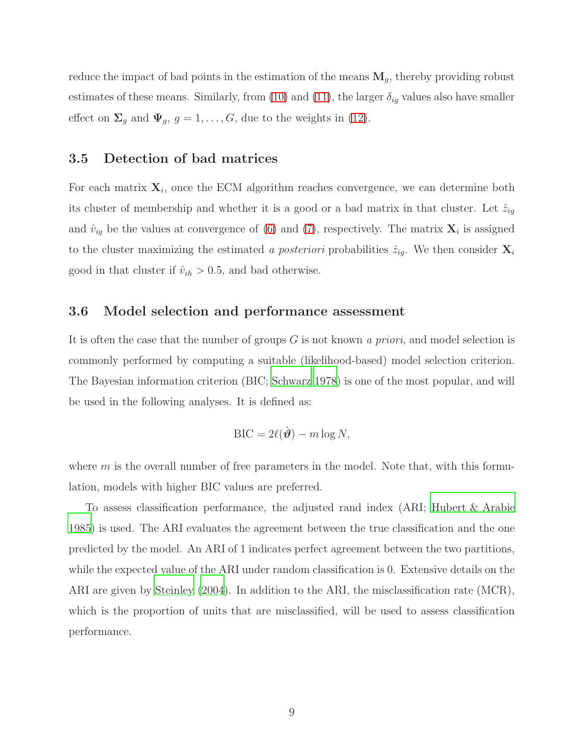reduce the impact of bad points in the estimation of the means  $M<sub>g</sub>$ , thereby providing robust estimates of these means. Similarly, from [\(10\)](#page-7-3) and [\(11\)](#page-7-4), the larger  $\delta_{ig}$  values also have smaller effect on  $\Sigma_g$  and  $\Psi_g$ ,  $g = 1, \ldots, G$ , due to the weights in [\(12\)](#page-7-1).

## 3.5 Detection of bad matrices

For each matrix  $\mathbf{X}_i$ , once the ECM algorithm reaches convergence, we can determine both its cluster of membership and whether it is a good or a bad matrix in that cluster. Let  $\tilde{z}_{ig}$ and  $\hat{v}_{ig}$  be the values at convergence of [\(6\)](#page-6-2) and [\(7\)](#page-6-1), respectively. The matrix  $\mathbf{X}_i$  is assigned to the cluster maximizing the estimated a posteriori probabilities  $\hat{z}_{ig}$ . We then consider  $\mathbf{X}_i$ good in that cluster if  $\hat{v}_{ih} > 0.5$ , and bad otherwise.

#### 3.6 Model selection and performance assessment

It is often the case that the number of groups  $G$  is not known a priori, and model selection is commonly performed by computing a suitable (likelihood-based) model selection criterion. The Bayesian information criterion (BIC; [Schwarz 1978](#page-16-10)) is one of the most popular, and will be used in the following analyses. It is defined as:

$$
\text{BIC} = 2\ell(\hat{\boldsymbol{\vartheta}}) - m \log N,
$$

where  $m$  is the overall number of free parameters in the model. Note that, with this formulation, models with higher BIC values are preferred.

To assess classification performance, the adjusted rand index (ARI; [Hubert & Arabie](#page-16-11) [1985\)](#page-16-11) is used. The ARI evaluates the agreement between the true classification and the one predicted by the model. An ARI of 1 indicates perfect agreement between the two partitions, while the expected value of the ARI under random classification is 0. Extensive details on the ARI are given by [Steinley \(2004\)](#page-17-1). In addition to the ARI, the misclassification rate (MCR), which is the proportion of units that are misclassified, will be used to assess classification performance.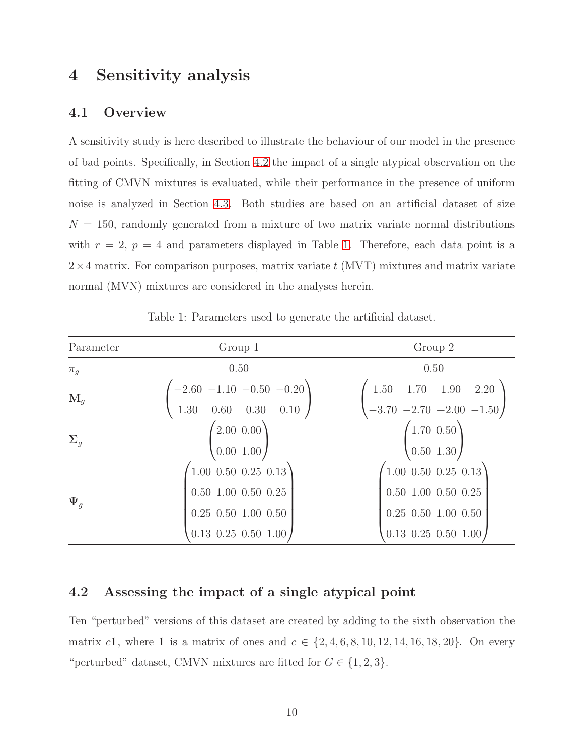# <span id="page-9-0"></span>4 Sensitivity analysis

## 4.1 Overview

A sensitivity study is here described to illustrate the behaviour of our model in the presence of bad points. Specifically, in Section [4.2](#page-9-1) the impact of a single atypical observation on the fitting of CMVN mixtures is evaluated, while their performance in the presence of uniform noise is analyzed in Section [4.3.](#page-11-0) Both studies are based on an artificial dataset of size  $N = 150$ , randomly generated from a mixture of two matrix variate normal distributions with  $r = 2$ ,  $p = 4$  and parameters displayed in Table [1.](#page-9-2) Therefore, each data point is a  $2\times4$  matrix. For comparison purposes, matrix variate t (MVT) mixtures and matrix variate normal (MVN) mixtures are considered in the analyses herein.

<span id="page-9-2"></span>

| Parameter           | Group 1                                                                                                       | Group 2                                                                                                                                        |  |
|---------------------|---------------------------------------------------------------------------------------------------------------|------------------------------------------------------------------------------------------------------------------------------------------------|--|
| $\pi_g$             | 0.50                                                                                                          | 0.50                                                                                                                                           |  |
| $\mathbf{M}_q$      | $\begin{pmatrix} -2.60 & -1.10 & -0.50 & -0.20 \end{pmatrix}$<br>$0.60 \quad 0.30 \quad 0.10$<br>1.30         | $1.70$ $1.90$ $2.20$<br>1.50<br>$\begin{pmatrix} -3.70 & -2.70 & -2.00 & -1.50 \end{pmatrix}$                                                  |  |
| $\Sigma_g$          | $(2.00\ 0.00)$<br>0.001.00                                                                                    | $(1.70 \t0.50)$<br>0.501.30/                                                                                                                   |  |
| $\overline{\Psi}_q$ | $(1.00\ 0.50\ 0.25\ 0.13)$<br>$0.50$ 1.00 $0.50$ 0.25<br>$0.25$ $0.50$ $1.00$ $0.50$<br>$0.13$ 0.25 0.50 1.00 | $(1.00 \t0.50 \t0.25 \t0.13)$<br>$0.50$ 1.00 $0.50$ 0.25<br>$0.25$ $0.50$ $1.00$ $0.50$<br>$\left(0.13\right)0.25\right)0.50\left(1.00\right)$ |  |

Table 1: Parameters used to generate the artificial dataset.

## <span id="page-9-1"></span>4.2 Assessing the impact of a single atypical point

Ten "perturbed" versions of this dataset are created by adding to the sixth observation the matrix c1, where 1 is a matrix of ones and  $c \in \{2, 4, 6, 8, 10, 12, 14, 16, 18, 20\}$ . On every "perturbed" dataset, CMVN mixtures are fitted for  $G \in \{1,2,3\}$ .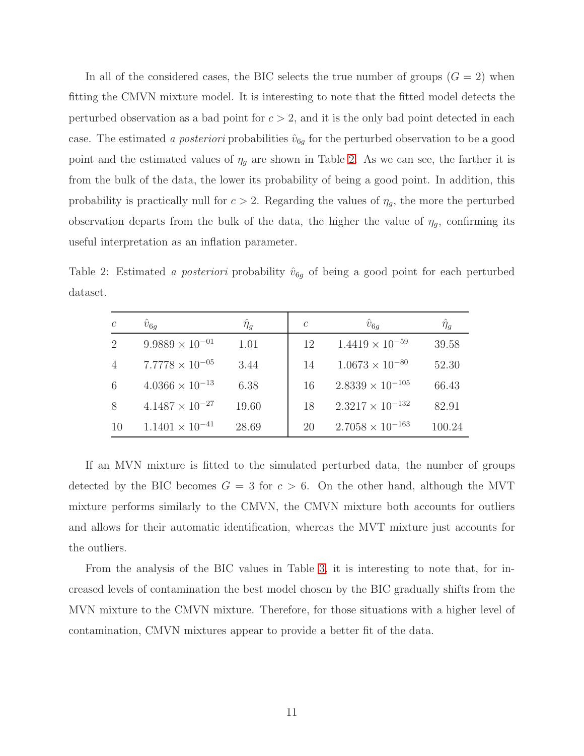In all of the considered cases, the BIC selects the true number of groups  $(G = 2)$  when fitting the CMVN mixture model. It is interesting to note that the fitted model detects the perturbed observation as a bad point for  $c > 2$ , and it is the only bad point detected in each case. The estimated a *posteriori* probabilities  $\hat{v}_{6g}$  for the perturbed observation to be a good point and the estimated values of  $\eta_g$  are shown in Table [2.](#page-10-0) As we can see, the farther it is from the bulk of the data, the lower its probability of being a good point. In addition, this probability is practically null for  $c > 2$ . Regarding the values of  $\eta_g$ , the more the perturbed observation departs from the bulk of the data, the higher the value of  $\eta_g$ , confirming its useful interpretation as an inflation parameter.

<span id="page-10-0"></span>Table 2: Estimated a posteriori probability  $\hat{v}_{6g}$  of being a good point for each perturbed dataset.

| $\mathcal{C}$  | $\hat{v}_{6q}$           | $\hat{\eta}_g$ | $\mathcal{C}$ | $\hat{v}_{6q}$            | $\hat{\eta}_g$ |
|----------------|--------------------------|----------------|---------------|---------------------------|----------------|
| $\overline{2}$ | $9.9889 \times 10^{-01}$ | 1.01           | 12            | $1.4419 \times 10^{-59}$  | 39.58          |
|                | $7.7778 \times 10^{-05}$ | 3.44           | 14            | $1.0673 \times 10^{-80}$  | 52.30          |
| 6              | $4.0366 \times 10^{-13}$ | 6.38           | 16            | $2.8339 \times 10^{-105}$ | 66.43          |
| 8              | $4.1487 \times 10^{-27}$ | 19.60          | 18            | $2.3217 \times 10^{-132}$ | 82.91          |
| 10             | $1.1401 \times 10^{-41}$ | 28.69          | 20            | $2.7058 \times 10^{-163}$ | 100.24         |

If an MVN mixture is fitted to the simulated perturbed data, the number of groups detected by the BIC becomes  $G = 3$  for  $c > 6$ . On the other hand, although the MVT mixture performs similarly to the CMVN, the CMVN mixture both accounts for outliers and allows for their automatic identification, whereas the MVT mixture just accounts for the outliers.

From the analysis of the BIC values in Table [3,](#page-11-1) it is interesting to note that, for increased levels of contamination the best model chosen by the BIC gradually shifts from the MVN mixture to the CMVN mixture. Therefore, for those situations with a higher level of contamination, CMVN mixtures appear to provide a better fit of the data.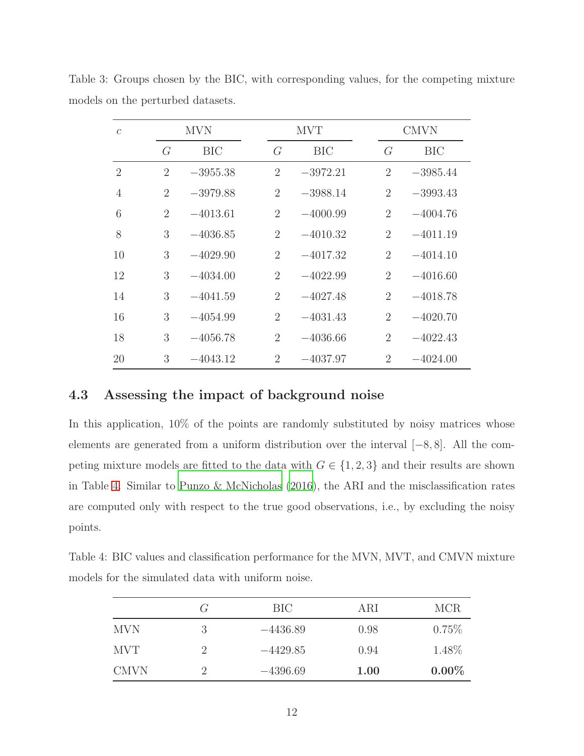| $\mathcal{C}$  |                | <b>MVN</b> |                | <b>MVT</b> |                | <b>CMVN</b> |
|----------------|----------------|------------|----------------|------------|----------------|-------------|
|                | G              | <b>BIC</b> | G              | BIC        | $\overline{G}$ | <b>BIC</b>  |
| $\overline{2}$ | $\overline{2}$ | $-3955.38$ | $\overline{2}$ | $-3972.21$ | $\overline{2}$ | $-3985.44$  |
| $\overline{4}$ | $\overline{2}$ | $-3979.88$ | $\overline{2}$ | $-3988.14$ | $\overline{2}$ | $-3993.43$  |
| 6              | $\overline{2}$ | $-4013.61$ | $\overline{2}$ | $-4000.99$ | $\overline{2}$ | $-4004.76$  |
| 8              | 3              | $-4036.85$ | $\overline{2}$ | $-4010.32$ | $\overline{2}$ | $-4011.19$  |
| 10             | 3              | $-4029.90$ | $\overline{2}$ | $-4017.32$ | $\overline{2}$ | $-4014.10$  |
| 12             | 3              | $-4034.00$ | $\overline{2}$ | $-4022.99$ | $\overline{2}$ | $-4016.60$  |
| 14             | 3              | $-4041.59$ | $\overline{2}$ | $-4027.48$ | $\overline{2}$ | $-4018.78$  |
| 16             | 3              | $-4054.99$ | $\overline{2}$ | $-4031.43$ | $\overline{2}$ | $-4020.70$  |
| 18             | 3              | $-4056.78$ | $\overline{2}$ | $-4036.66$ | $\overline{2}$ | $-4022.43$  |
| 20             | 3              | $-4043.12$ | $\overline{2}$ | $-4037.97$ | $\overline{2}$ | $-4024.00$  |

<span id="page-11-1"></span>Table 3: Groups chosen by the BIC, with corresponding values, for the competing mixture models on the perturbed datasets.

## <span id="page-11-0"></span>4.3 Assessing the impact of background noise

In this application,  $10\%$  of the points are randomly substituted by noisy matrices whose elements are generated from a uniform distribution over the interval [−8, 8]. All the competing mixture models are fitted to the data with  $G \in \{1, 2, 3\}$  and their results are shown in Table [4.](#page-11-2) Similar to [Punzo & McNicholas \(2016\)](#page-16-5), the ARI and the misclassification rates are computed only with respect to the true good observations, i.e., by excluding the noisy points.

<span id="page-11-2"></span>Table 4: BIC values and classification performance for the MVN, MVT, and CMVN mixture models for the simulated data with uniform noise.

|             | $\binom{1}{r}$ | BIC        | ARI  | <b>MCR</b> |
|-------------|----------------|------------|------|------------|
| <b>MVN</b>  | 3              | $-4436.89$ | 0.98 | $0.75\%$   |
| <b>MVT</b>  |                | $-4429.85$ | 0.94 | 1.48\%     |
| <b>CMVN</b> |                | $-4396.69$ | 1.00 | $0.00\%$   |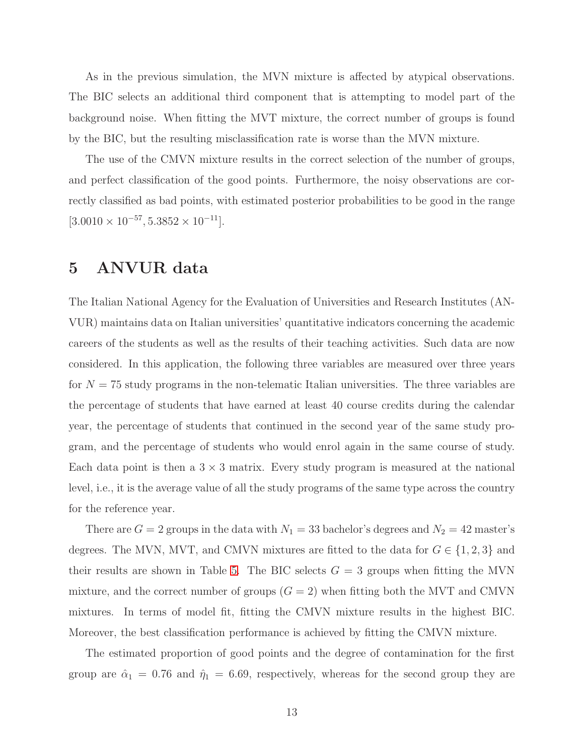As in the previous simulation, the MVN mixture is affected by atypical observations. The BIC selects an additional third component that is attempting to model part of the background noise. When fitting the MVT mixture, the correct number of groups is found by the BIC, but the resulting misclassification rate is worse than the MVN mixture.

The use of the CMVN mixture results in the correct selection of the number of groups, and perfect classification of the good points. Furthermore, the noisy observations are correctly classified as bad points, with estimated posterior probabilities to be good in the range  $[3.0010 \times 10^{-57}, 5.3852 \times 10^{-11}].$ 

# <span id="page-12-0"></span>5 ANVUR data

The Italian National Agency for the Evaluation of Universities and Research Institutes (AN-VUR) maintains data on Italian universities' quantitative indicators concerning the academic careers of the students as well as the results of their teaching activities. Such data are now considered. In this application, the following three variables are measured over three years for  $N = 75$  study programs in the non-telematic Italian universities. The three variables are the percentage of students that have earned at least 40 course credits during the calendar year, the percentage of students that continued in the second year of the same study program, and the percentage of students who would enrol again in the same course of study. Each data point is then a  $3 \times 3$  matrix. Every study program is measured at the national level, i.e., it is the average value of all the study programs of the same type across the country for the reference year.

There are  $G = 2$  groups in the data with  $N_1 = 33$  bachelor's degrees and  $N_2 = 42$  master's degrees. The MVN, MVT, and CMVN mixtures are fitted to the data for  $G \in \{1, 2, 3\}$  and their results are shown in Table [5.](#page-13-0) The BIC selects  $G = 3$  groups when fitting the MVN mixture, and the correct number of groups  $(G = 2)$  when fitting both the MVT and CMVN mixtures. In terms of model fit, fitting the CMVN mixture results in the highest BIC. Moreover, the best classification performance is achieved by fitting the CMVN mixture.

The estimated proportion of good points and the degree of contamination for the first group are  $\hat{\alpha}_1 = 0.76$  and  $\hat{\eta}_1 = 6.69$ , respectively, whereas for the second group they are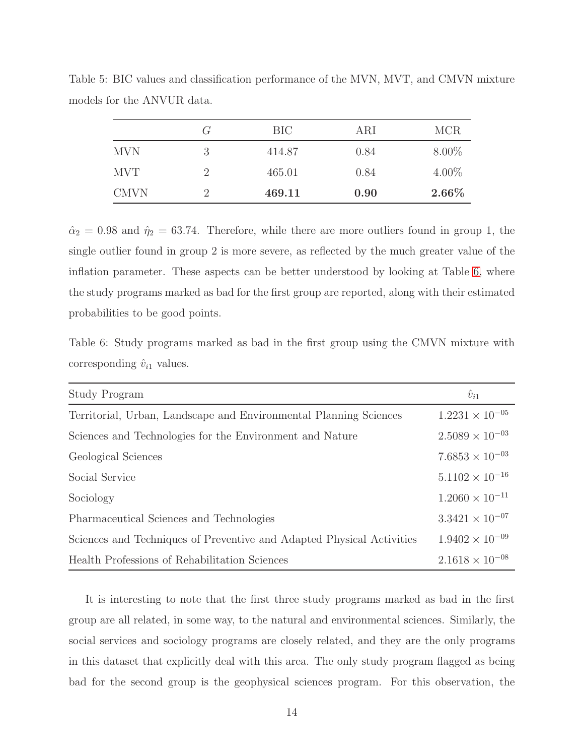|             | G        | BIC    | ARI  | <b>MCR</b> |
|-------------|----------|--------|------|------------|
| <b>MVN</b>  | 3        | 414.87 | 0.84 | $8.00\%$   |
| <b>MVT</b>  |          | 465.01 | 0.84 | $4.00\%$   |
| <b>CMVN</b> | $\Omega$ | 469.11 | 0.90 | $2.66\%$   |

<span id="page-13-0"></span>Table 5: BIC values and classification performance of the MVN, MVT, and CMVN mixture models for the ANVUR data.

 $\hat{\alpha}_2 = 0.98$  and  $\hat{\eta}_2 = 63.74$ . Therefore, while there are more outliers found in group 1, the single outlier found in group 2 is more severe, as reflected by the much greater value of the inflation parameter. These aspects can be better understood by looking at Table [6,](#page-13-1) where the study programs marked as bad for the first group are reported, along with their estimated probabilities to be good points.

<span id="page-13-1"></span>Table 6: Study programs marked as bad in the first group using the CMVN mixture with corresponding  $\hat{v}_{i1}$  values.

| Study Program                                                         | $\hat{v}_{i1}$           |
|-----------------------------------------------------------------------|--------------------------|
| Territorial, Urban, Landscape and Environmental Planning Sciences     | $1.2231 \times 10^{-05}$ |
| Sciences and Technologies for the Environment and Nature              | $2.5089 \times 10^{-03}$ |
| Geological Sciences                                                   | $7.6853 \times 10^{-03}$ |
| Social Service                                                        | $5.1102 \times 10^{-16}$ |
| Sociology                                                             | $1.2060 \times 10^{-11}$ |
| Pharmaceutical Sciences and Technologies                              | $3.3421 \times 10^{-07}$ |
| Sciences and Techniques of Preventive and Adapted Physical Activities | $1.9402 \times 10^{-09}$ |
| Health Professions of Rehabilitation Sciences                         | $2.1618 \times 10^{-08}$ |

It is interesting to note that the first three study programs marked as bad in the first group are all related, in some way, to the natural and environmental sciences. Similarly, the social services and sociology programs are closely related, and they are the only programs in this dataset that explicitly deal with this area. The only study program flagged as being bad for the second group is the geophysical sciences program. For this observation, the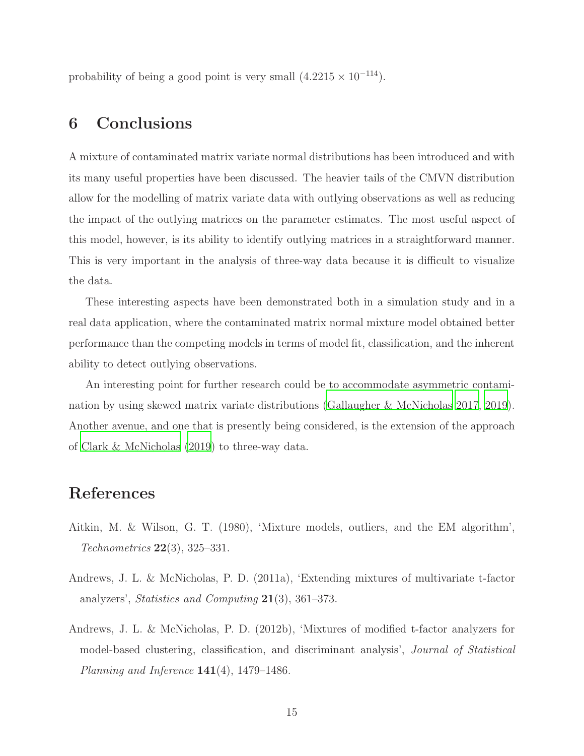<span id="page-14-1"></span>probability of being a good point is very small  $(4.2215 \times 10^{-114})$ .

# 6 Conclusions

A mixture of contaminated matrix variate normal distributions has been introduced and with its many useful properties have been discussed. The heavier tails of the CMVN distribution allow for the modelling of matrix variate data with outlying observations as well as reducing the impact of the outlying matrices on the parameter estimates. The most useful aspect of this model, however, is its ability to identify outlying matrices in a straightforward manner. This is very important in the analysis of three-way data because it is difficult to visualize the data.

These interesting aspects have been demonstrated both in a simulation study and in a real data application, where the contaminated matrix normal mixture model obtained better performance than the competing models in terms of model fit, classification, and the inherent ability to detect outlying observations.

An interesting point for further research could be to accommodate asymmetric contamination by using skewed matrix variate distributions [\(Gallaugher & McNicholas 2017,](#page-15-9) [2019](#page-15-10)). Another avenue, and one that is presently being considered, is the extension of the approach of [Clark & McNicholas \(2019](#page-15-11)) to three-way data.

# References

- <span id="page-14-0"></span>Aitkin, M. & Wilson, G. T. (1980), 'Mixture models, outliers, and the EM algorithm',  $Technometrics 22(3), 325-331.$
- <span id="page-14-2"></span>Andrews, J. L. & McNicholas, P. D. (2011a), 'Extending mixtures of multivariate t-factor analyzers', Statistics and Computing 21(3), 361–373.
- <span id="page-14-3"></span>Andrews, J. L. & McNicholas, P. D. (2012b), 'Mixtures of modified t-factor analyzers for model-based clustering, classification, and discriminant analysis', Journal of Statistical Planning and Inference  $141(4)$ , 1479–1486.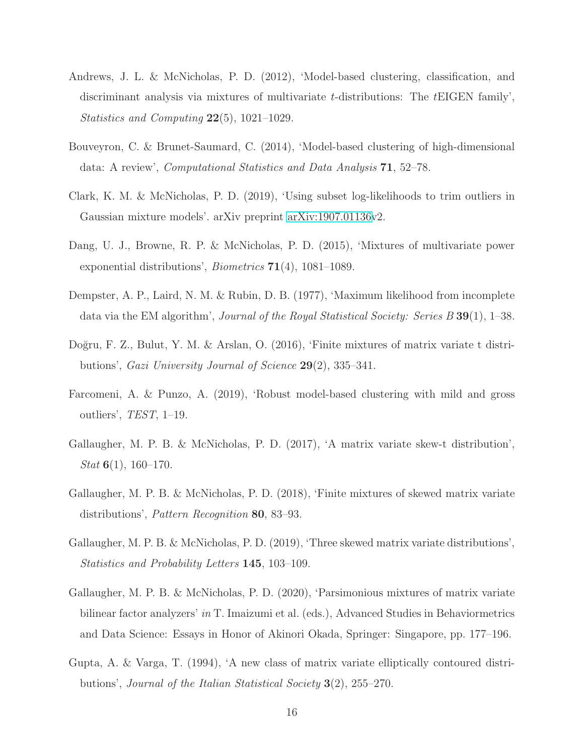- <span id="page-15-5"></span>Andrews, J. L. & McNicholas, P. D. (2012), 'Model-based clustering, classification, and discriminant analysis via mixtures of multivariate  $t$ -distributions: The  $t$ EIGEN family', Statistics and Computing 22(5), 1021–1029.
- <span id="page-15-6"></span>Bouveyron, C. & Brunet-Saumard, C. (2014), 'Model-based clustering of high-dimensional data: A review', Computational Statistics and Data Analysis 71, 52–78.
- <span id="page-15-11"></span>Clark, K. M. & McNicholas, P. D. (2019), 'Using subset log-likelihoods to trim outliers in Gaussian mixture models'. arXiv preprint [arXiv:1907.01136v](http://arxiv.org/abs/1907.01136)2.
- <span id="page-15-3"></span>Dang, U. J., Browne, R. P. & McNicholas, P. D. (2015), 'Mixtures of multivariate power exponential distributions', Biometrics 71(4), 1081–1089.
- <span id="page-15-8"></span>Dempster, A. P., Laird, N. M. & Rubin, D. B. (1977), 'Maximum likelihood from incomplete data via the EM algorithm', Journal of the Royal Statistical Society: Series B 39(1), 1–38.
- <span id="page-15-4"></span>Doğru, F. Z., Bulut, Y. M. & Arslan, O. (2016), 'Finite mixtures of matrix variate t distributions', Gazi University Journal of Science 29(2), 335–341.
- <span id="page-15-2"></span>Farcomeni, A. & Punzo, A. (2019), 'Robust model-based clustering with mild and gross outliers', TEST, 1–19.
- <span id="page-15-9"></span>Gallaugher, M. P. B. & McNicholas, P. D. (2017), 'A matrix variate skew-t distribution',  $Stat 6(1), 160-170.$
- <span id="page-15-0"></span>Gallaugher, M. P. B. & McNicholas, P. D. (2018), 'Finite mixtures of skewed matrix variate distributions', Pattern Recognition 80, 83–93.
- <span id="page-15-10"></span>Gallaugher, M. P. B. & McNicholas, P. D. (2019), 'Three skewed matrix variate distributions', Statistics and Probability Letters 145, 103–109.
- <span id="page-15-1"></span>Gallaugher, M. P. B. & McNicholas, P. D. (2020), 'Parsimonious mixtures of matrix variate bilinear factor analyzers' in T. Imaizumi et al. (eds.), Advanced Studies in Behaviormetrics and Data Science: Essays in Honor of Akinori Okada, Springer: Singapore, pp. 177–196.
- <span id="page-15-7"></span>Gupta, A. & Varga, T. (1994), 'A new class of matrix variate elliptically contoured distributions', Journal of the Italian Statistical Society 3(2), 255–270.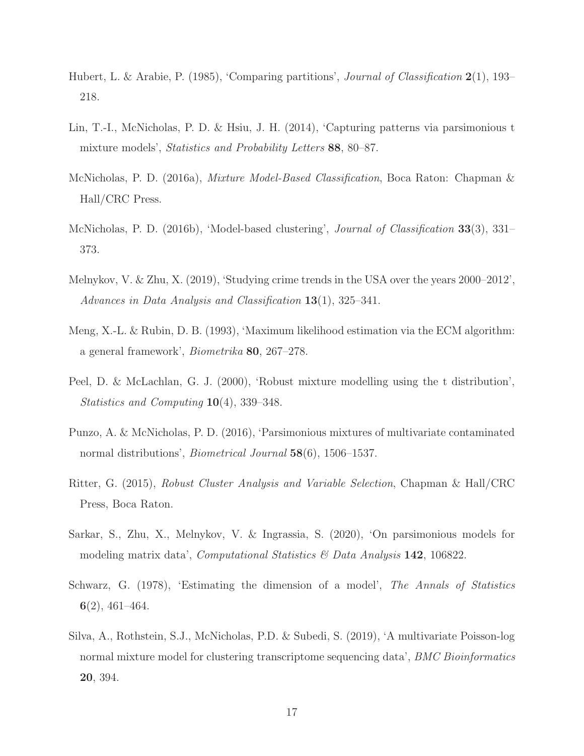- <span id="page-16-11"></span>Hubert, L. & Arabie, P. (1985), 'Comparing partitions', *Journal of Classification* 2(1), 193– 218.
- <span id="page-16-7"></span>Lin, T.-I., McNicholas, P. D. & Hsiu, J. H. (2014), 'Capturing patterns via parsimonious t mixture models', *Statistics and Probability Letters* 88, 80–87.
- <span id="page-16-6"></span>McNicholas, P. D. (2016a), Mixture Model-Based Classification, Boca Raton: Chapman & Hall/CRC Press.
- <span id="page-16-8"></span>McNicholas, P. D. (2016b), 'Model-based clustering', Journal of Classification 33(3), 331– 373.
- <span id="page-16-0"></span>Melnykov, V. & Zhu, X. (2019), 'Studying crime trends in the USA over the years 2000–2012', Advances in Data Analysis and Classification 13(1), 325–341.
- <span id="page-16-9"></span>Meng, X.-L. & Rubin, D. B. (1993), 'Maximum likelihood estimation via the ECM algorithm: a general framework', Biometrika 80, 267–278.
- <span id="page-16-4"></span>Peel, D. & McLachlan, G. J. (2000), 'Robust mixture modelling using the t distribution', Statistics and Computing 10(4), 339–348.
- <span id="page-16-5"></span>Punzo, A. & McNicholas, P. D. (2016), 'Parsimonious mixtures of multivariate contaminated normal distributions', *Biometrical Journal* 58(6), 1506–1537.
- <span id="page-16-3"></span>Ritter, G. (2015), Robust Cluster Analysis and Variable Selection, Chapman & Hall/CRC Press, Boca Raton.
- <span id="page-16-2"></span>Sarkar, S., Zhu, X., Melnykov, V. & Ingrassia, S. (2020), 'On parsimonious models for modeling matrix data', *Computational Statistics*  $\mathscr{C}$  Data Analysis 142, 106822.
- <span id="page-16-10"></span>Schwarz, G. (1978), 'Estimating the dimension of a model', The Annals of Statistics 6(2), 461–464.
- <span id="page-16-1"></span>Silva, A., Rothstein, S.J., McNicholas, P.D. & Subedi, S. (2019), 'A multivariate Poisson-log normal mixture model for clustering transcriptome sequencing data', *BMC Bioinformatics* 20, 394.